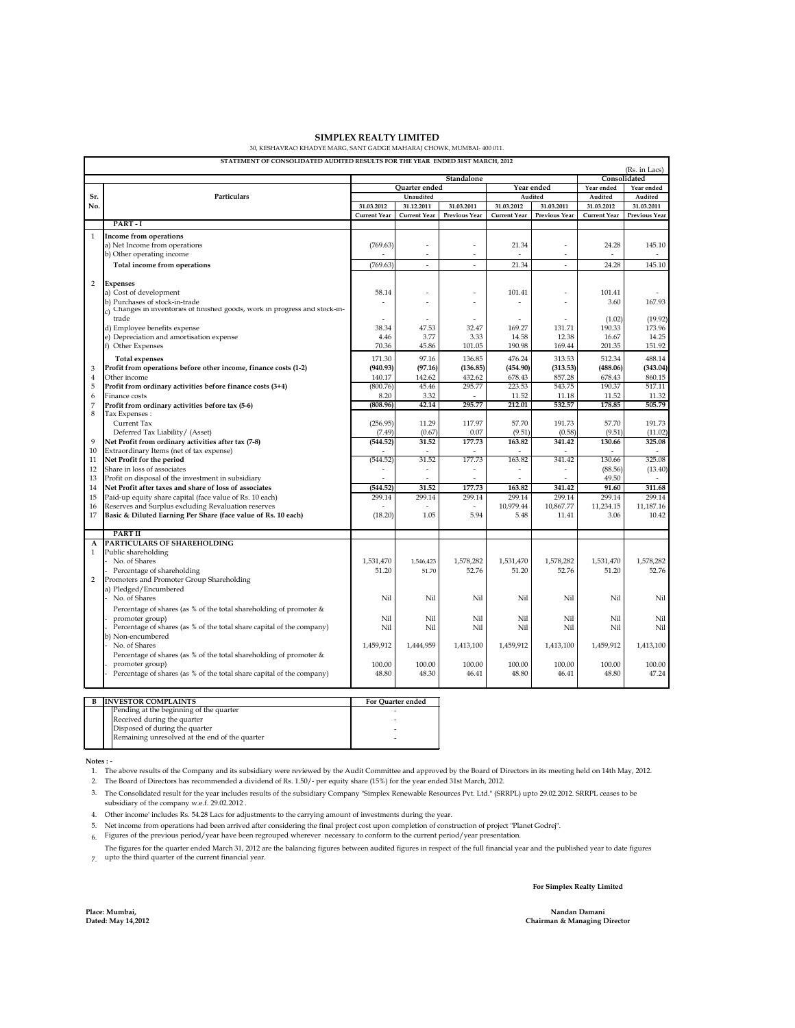| STATEMENT OF CONSOLIDATED AUDITED RESULTS FOR THE YEAR ENDED 31ST MARCH, 2012 |                                                                          |                             |                     |                          |                     |                          |                     |                      |
|-------------------------------------------------------------------------------|--------------------------------------------------------------------------|-----------------------------|---------------------|--------------------------|---------------------|--------------------------|---------------------|----------------------|
|                                                                               | (Rs. in Lacs)<br>Consolidated<br>Standalone                              |                             |                     |                          |                     |                          |                     |                      |
|                                                                               |                                                                          | Quarter ended<br>Year ended |                     |                          |                     | Year ended<br>Year ended |                     |                      |
| Sr.                                                                           | Particulars                                                              |                             | Unaudited           |                          | Audited             |                          | Audited             | Audited              |
| No.                                                                           |                                                                          | 31.03.2012                  | 31.12.2011          | 31.03.2011               | 31.03.2012          | 31.03.2011               | 31.03.2012          | 31.03.2011           |
|                                                                               |                                                                          | <b>Current Year</b>         | <b>Current Year</b> | <b>Previous Year</b>     | <b>Current Year</b> | <b>Previous Year</b>     | <b>Current Year</b> | <b>Previous Year</b> |
|                                                                               | PART-I                                                                   |                             |                     |                          |                     |                          |                     |                      |
|                                                                               | Income from operations                                                   |                             |                     |                          |                     |                          |                     |                      |
|                                                                               | a) Net Income from operations                                            | (769.63)                    |                     |                          | 21.34               |                          | 24.28               | 145.10               |
|                                                                               | b) Other operating income                                                |                             |                     |                          |                     | $\overline{\phantom{a}}$ |                     |                      |
|                                                                               | Total income from operations                                             | (769.63)                    |                     |                          | 21.34               | $\overline{\phantom{a}}$ | 24.28               | 145.10               |
|                                                                               |                                                                          |                             |                     |                          |                     |                          |                     |                      |
| 2                                                                             | <b>Expenses</b>                                                          |                             |                     |                          |                     |                          |                     |                      |
|                                                                               | a) Cost of development                                                   | 58.14                       |                     | $\overline{\phantom{a}}$ | 101.41              | $\overline{\phantom{m}}$ | 101.41              |                      |
|                                                                               | b) Purchases of stock-in-trade                                           |                             |                     |                          |                     |                          | 3.60                | 167.93               |
|                                                                               | Changes in inventories of finished goods, work in progress and stock-in- |                             |                     |                          |                     |                          |                     |                      |
|                                                                               | trade                                                                    |                             |                     |                          |                     |                          | (1.02)              | (19.92)              |
|                                                                               | d) Employee benefits expense                                             | 38.34                       | 47.53               | 32.47                    | 169.27              | 131.71                   | 190.33              | 173.96               |
|                                                                               | e) Depreciation and amortisation expense                                 | 4.46                        | 3.77                | 3.33                     | 14.58               | 12.38                    | 16.67               | 14.25                |
|                                                                               | <b>Other Expenses</b>                                                    | 70.36                       | 45.86               | 101.05                   | 190.98              | 169.44                   | 201.35              | 151.92               |
|                                                                               | <b>Total expenses</b>                                                    | 171.30                      | 97.16               | 136.85                   | 476.24              | 313.53                   | 512.34              | 488.14               |
| 3                                                                             | Profit from operations before other income, finance costs (1-2)          | (940.93)                    | (97.16)             | (136.85)                 | (454.90)            | (313.53)                 | (488.06)            | (343.04)             |
| $\overline{4}$                                                                | Other income                                                             | 140.17                      | 142.62              | 432.62                   | 678.43              | 857.28                   | 678.43              | 860.15               |
| 5                                                                             | Profit from ordinary activities before finance costs (3+4)               | (800.76)                    | 45.46               | 295.77                   | 223.53              | 543.75                   | 190.37              | 517.11               |
| 6                                                                             | Finance costs                                                            | 8.20                        | 3.32                |                          | 11.52               | 11.18                    | 11.52               | 11.32                |
|                                                                               | Profit from ordinary activities before tax (5-6)                         | (808.96)                    | 42.14               | 295.77                   | 212.01              | 532.57                   | 178.85              | 505.79               |
| 8                                                                             | Tax Expenses :                                                           |                             |                     |                          |                     |                          |                     |                      |
|                                                                               | <b>Current Tax</b>                                                       | (256.95)                    | 11.29               | 117.97                   | 57.70               | 191.73                   | 57.70               | 191.73               |
|                                                                               | Deferred Tax Liability/ (Asset)                                          | (7.49)                      | (0.67)              | 0.07                     | (9.51)              | (0.58)                   | (9.51)              | (11.02)              |
| 9                                                                             | Net Profit from ordinary activities after tax (7-8)                      | (544.52)                    | 31.52               | 177.73                   | 163.82              | 341.42                   | 130.66              | 325.08               |
| 10                                                                            | Extraordinary Items (net of tax expense)                                 |                             |                     |                          |                     |                          |                     |                      |
| 11                                                                            | Net Profit for the period                                                | (544.52)                    | 31.52               | 177.73                   | 163.82              | 341.42                   | 130.66              | 325.08               |
| 12                                                                            | Share in loss of associates                                              |                             |                     |                          |                     |                          | (88.56)             | (13.40)              |
| 13                                                                            | Profit on disposal of the investment in subsidiary                       |                             |                     |                          |                     |                          | 49.50               |                      |
| 14                                                                            | Net Profit after taxes and share of loss of associates                   | (544.52)                    | 31.52               | 177.73                   | 163.82              | 341.42                   | 91.60               | 311.68               |
| 15                                                                            | Paid-up equity share capital (face value of Rs. 10 each)                 | 299.14                      | 299.14              | 299.14                   | 299.14              | 299.14                   | 299.14              | 299.14               |
| 16                                                                            | Reserves and Surplus excluding Revaluation reserves                      |                             |                     |                          | 10,979.44           | 10,867.77                | 11,234.15           | 11,187.16            |
| 17                                                                            | Basic & Diluted Earning Per Share (face value of Rs. 10 each)            | (18.20)                     | 1.05                | 5.94                     | 5.48                | 11.41                    | 3.06                | 10.42                |
|                                                                               | <b>PART II</b>                                                           |                             |                     |                          |                     |                          |                     |                      |
| A                                                                             | <b>PARTICULARS OF SHAREHOLDING</b>                                       |                             |                     |                          |                     |                          |                     |                      |
|                                                                               | Public shareholding                                                      |                             |                     |                          |                     |                          |                     |                      |
|                                                                               | No. of Shares                                                            | 1,531,470                   | 1,546,423           | 1,578,282                | 1,531,470           | 1,578,282                | 1,531,470           | 1,578,282            |
|                                                                               | Percentage of shareholding                                               | 51.20                       | 51.70               | 52.76                    | 51.20               | 52.76                    | 51.20               | 52.76                |
| $\overline{2}$                                                                | Promoters and Promoter Group Shareholding                                |                             |                     |                          |                     |                          |                     |                      |
|                                                                               | a) Pledged/Encumbered                                                    |                             |                     |                          |                     |                          |                     |                      |
|                                                                               | No. of Shares                                                            | Nil                         | Nil                 | Nil                      | Nil                 | Nil                      | Nil                 | <b>Nil</b>           |
|                                                                               | Percentage of shares (as % of the total shareholding of promoter $\&$    |                             |                     |                          |                     |                          |                     |                      |
|                                                                               | promoter group)                                                          | <b>Nil</b>                  | Nil                 | Nil                      | Nil                 | Nil                      | Nil                 | Nil                  |
|                                                                               | Percentage of shares (as % of the total share capital of the company)    | Nil                         | Nil                 | Nil                      | Nil                 | Nil                      | Nil                 | Nil                  |
|                                                                               | (b) Non-encumbered                                                       |                             |                     |                          |                     |                          |                     |                      |
|                                                                               | No. of Shares                                                            | 1,459,912                   | 1,444,959           | 1,413,100                | 1,459,912           | 1,413,100                | 1,459,912           | 1,413,100            |
|                                                                               | Percentage of shares (as % of the total shareholding of promoter $\&$    |                             |                     |                          |                     |                          |                     |                      |
|                                                                               | promoter group)                                                          | 100.00                      | 100.00              | 100.00                   | 100.00              | 100.00                   | 100.00              | 100.00               |
|                                                                               | Percentage of shares (as % of the total share capital of the company)    | 48.80                       | 48.30               | 46.41                    | 48.80               | 46.41                    | 48.80               | 47.24                |
|                                                                               |                                                                          |                             |                     |                          |                     |                          |                     |                      |

## **Notes : -**

**Place: Mumbai, Dated: May 14,2012**

6. Figures of the previous period/year have been regrouped wherever necessary to conform to the current period/year presentation.

7. upto the third quarter of the current financial year.

The figures for the quarter ended March 31, 2012 are the balancing figures between audited figures in respect of the full financial year and the published year to date figures

1. The above results of the Company and its subsidiary were reviewed by the Audit Committee and approved by the Board of Directors in its meeting held on 14th May, 2012.

2. The Board of Directors has recommended a dividend of Rs. 1.50/- per equity share (15%) for the year ended 31st March, 2012.

3. The Consolidated result for the year includes results of the subsidiary Company "Simplex Renewable Resources Pvt. Ltd." (SRRPL) upto 29.02.2012. SRRPL ceases to be subsidiary of the company w.e.f. 29.02.2012 .

4. Other income' includes Rs. 54.28 Lacs for adjustments to the carrying amount of investments during the year.

5. Net income from operations had been arrived after considering the final project cost upon completion of construction of project "Planet Godrej".

| <b>INVESTOR COMPLAINTS</b>                     | <b>For Quarter ended</b> |
|------------------------------------------------|--------------------------|
| Pending at the beginning of the quarter        |                          |
| Received during the quarter                    |                          |
| Disposed of during the quarter                 |                          |
| Remaining unresolved at the end of the quarter |                          |
|                                                |                          |

**Chairman & Managing Director**

**Nandan Damani**

## **SIMPLEX REALTY LIMITED**

## 30, KESHAVRAO KHADYE MARG, SANT GADGE MAHARAJ CHOWK, MUMBAI- 400 011.